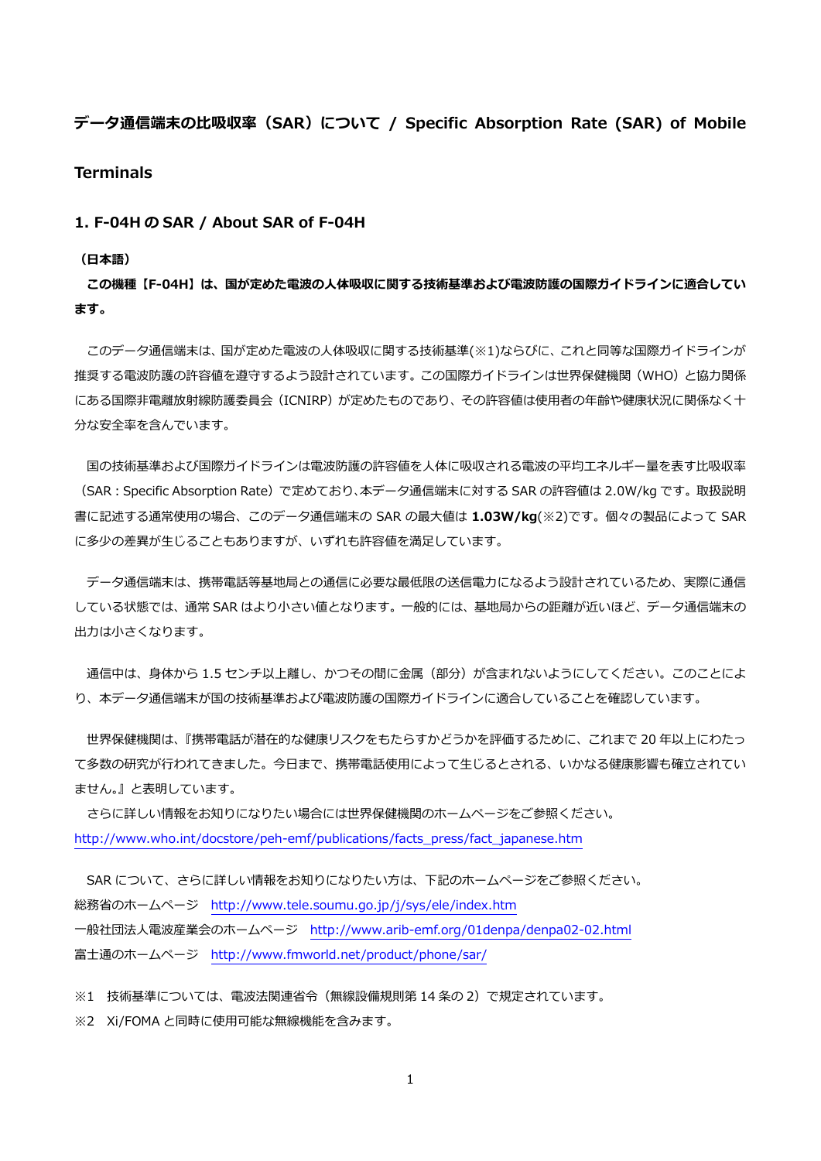# **データ通信端末の⽐吸収率(SAR)について / Specific Absorption Rate (SAR) of Mobile**

## **Terminals**

## **1. F-04H の SAR / About SAR of F-04H**

#### **(⽇本語)**

**この機種【F-04H】は、国が定めた電波の⼈体吸収に関する技術基準および電波防護の国際ガイドラインに適合してい ます。** 

 このデータ通信端末は、国が定めた電波の⼈体吸収に関する技術基準(※1)ならびに、これと同等な国際ガイドラインが 推奨する電波防護の許容値を遵守するよう設計されています。この国際ガイドラインは世界保健機関(WHO)と協力関係 にある国際非電離放射線防護委員会(ICNIRP)が定めたものであり、その許容値は使用者の年齢や健康状況に関係なく十 分な安全率を含んでいます。

国の技術基準および国際ガイドラインは電波防護の許容値を人体に吸収される電波の平均エネルギー量を表す比吸収率 (SAR:Specific Absorption Rate)で定めており、本データ通信端末に対する SAR の許容値は 2.0W/kg です。取扱説明 書に記述する通常使⽤の場合、このデータ通信端末の SAR の最⼤値は **1.03W/kg**(※2)です。個々の製品によって SAR に多少の差異が生じることもありますが、いずれも許容値を満足しています。

 データ通信端末は、携帯電話等基地局との通信に必要な最低限の送信電⼒になるよう設計されているため、実際に通信 している状態では、通常 SAR はより⼩さい値となります。⼀般的には、基地局からの距離が近いほど、データ通信端末の 出力は小さくなります。

通信中は、身体から 1.5 センチ以上離し、かつその間に金属 (部分) が含まれないようにしてください。このことによ り、本データ通信端末が国の技術基準および電波防護の国際ガイドラインに適合していることを確認しています。

 世界保健機関は、『携帯電話が潜在的な健康リスクをもたらすかどうかを評価するために、これまで 20 年以上にわたっ て多数の研究が行われてきました。今日まで、携帯電話使用によって生じるとされる、いかなる健康影響も確立されてい ません。』と表明しています。

 さらに詳しい情報をお知りになりたい場合には世界保健機関のホームページをご参照ください。 http://www.who.int/docstore/peh-emf/publications/facts\_press/fact\_japanese.htm

SAR について、さらに詳しい情報をお知りになりたい方は、下記のホームページをご参照ください。 総務省のホームページ http://www.tele.soumu.go.jp/j/sys/ele/index.htm ⼀般社団法⼈電波産業会のホームページ http://www.arib-emf.org/01denpa/denpa02-02.html 富士通のホームページ http://www.fmworld.net/product/phone/sar/

※1 技術基準については、電波法関連省令(無線設備規則第 14 条の 2)で規定されています。

※2 Xi/FOMA と同時に使用可能な無線機能を含みます。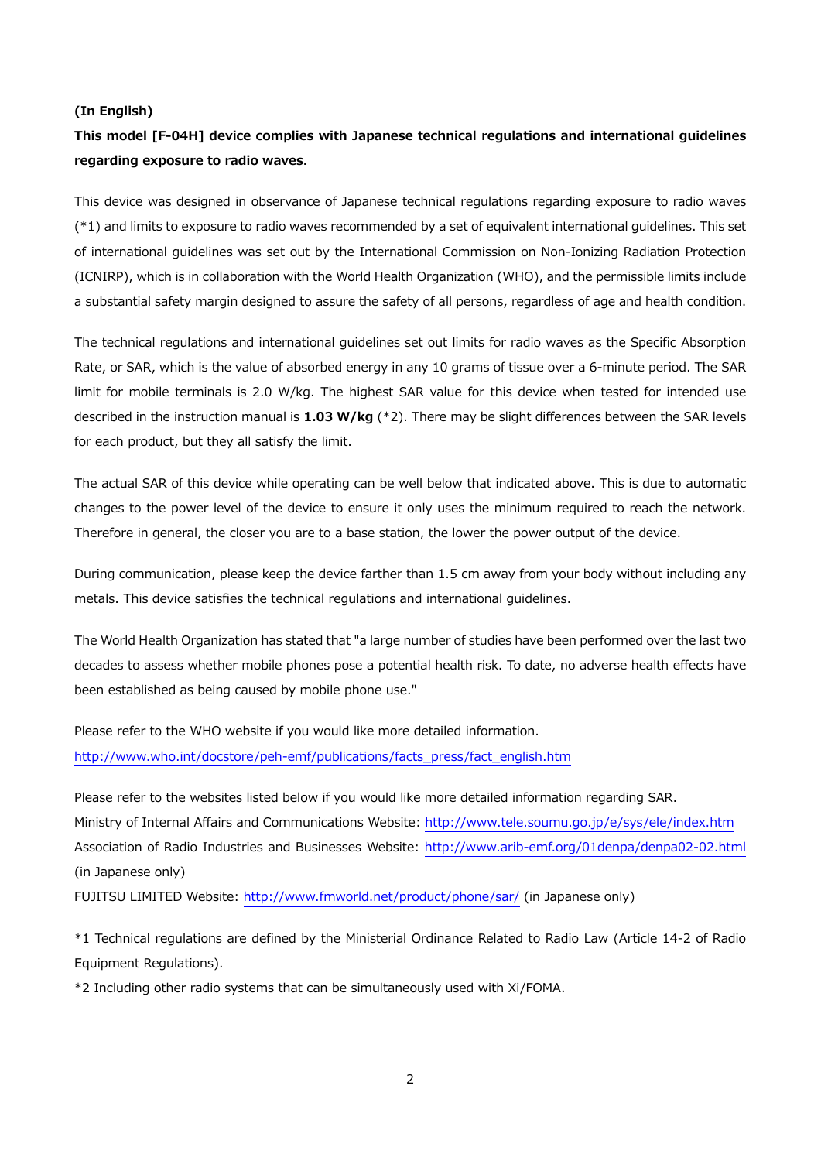#### **(In English)**

# **This model [F-04H] device complies with Japanese technical regulations and international guidelines regarding exposure to radio waves.**

This device was designed in observance of Japanese technical regulations regarding exposure to radio waves (\*1) and limits to exposure to radio waves recommended by a set of equivalent international guidelines. This set of international guidelines was set out by the International Commission on Non-Ionizing Radiation Protection (ICNIRP), which is in collaboration with the World Health Organization (WHO), and the permissible limits include a substantial safety margin designed to assure the safety of all persons, regardless of age and health condition.

The technical regulations and international guidelines set out limits for radio waves as the Specific Absorption Rate, or SAR, which is the value of absorbed energy in any 10 grams of tissue over a 6-minute period. The SAR limit for mobile terminals is 2.0 W/kg. The highest SAR value for this device when tested for intended use described in the instruction manual is **1.03 W/kg** (\*2). There may be slight differences between the SAR levels for each product, but they all satisfy the limit.

The actual SAR of this device while operating can be well below that indicated above. This is due to automatic changes to the power level of the device to ensure it only uses the minimum required to reach the network. Therefore in general, the closer you are to a base station, the lower the power output of the device.

During communication, please keep the device farther than 1.5 cm away from your body without including any metals. This device satisfies the technical regulations and international guidelines.

The World Health Organization has stated that "a large number of studies have been performed over the last two decades to assess whether mobile phones pose a potential health risk. To date, no adverse health effects have been established as being caused by mobile phone use."

Please refer to the WHO website if you would like more detailed information. http://www.who.int/docstore/peh-emf/publications/facts\_press/fact\_english.htm

Please refer to the websites listed below if you would like more detailed information regarding SAR. Ministry of Internal Affairs and Communications Website: http://www.tele.soumu.go.jp/e/sys/ele/index.htm Association of Radio Industries and Businesses Website: http://www.arib-emf.org/01denpa/denpa02-02.html (in Japanese only)

FUJITSU LIMITED Website: http://www.fmworld.net/product/phone/sar/ (in Japanese only)

\*1 Technical regulations are defined by the Ministerial Ordinance Related to Radio Law (Article 14-2 of Radio Equipment Regulations).

\*2 Including other radio systems that can be simultaneously used with Xi/FOMA.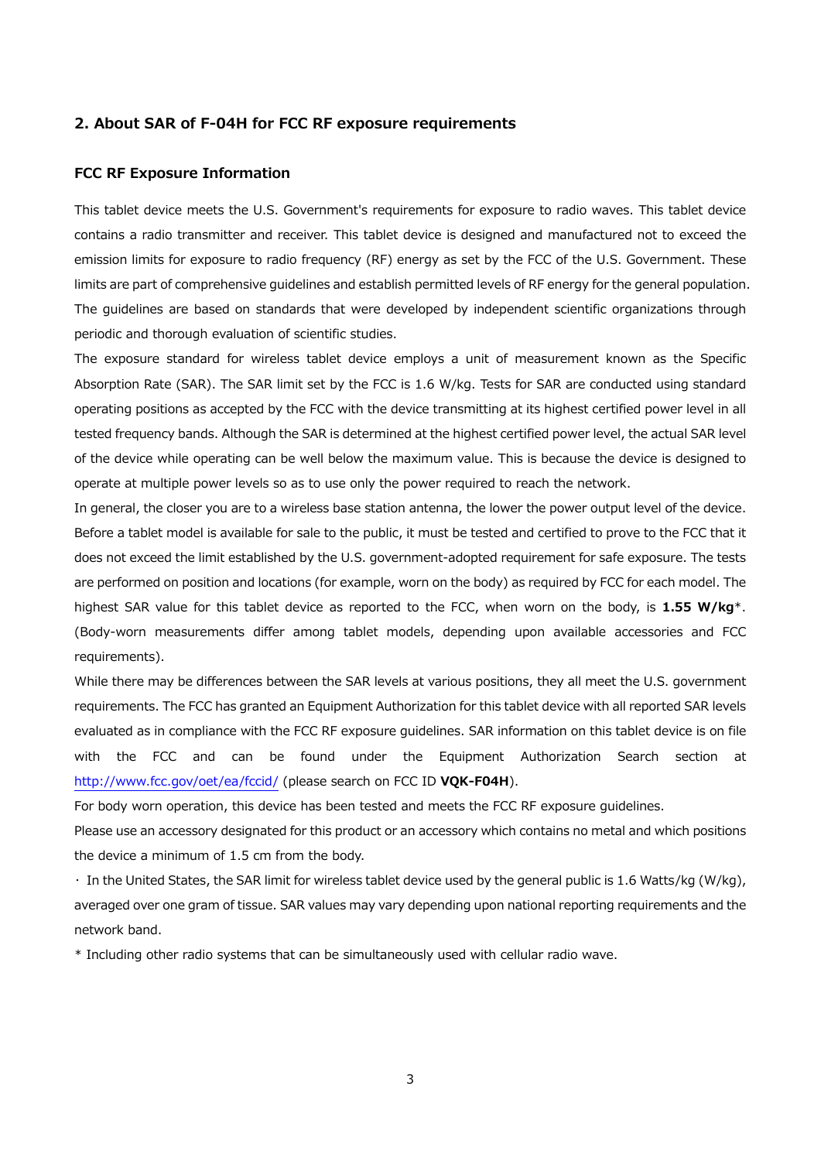### **2. About SAR of F-04H for FCC RF exposure requirements**

## **FCC RF Exposure Information**

This tablet device meets the U.S. Government's requirements for exposure to radio waves. This tablet device contains a radio transmitter and receiver. This tablet device is designed and manufactured not to exceed the emission limits for exposure to radio frequency (RF) energy as set by the FCC of the U.S. Government. These limits are part of comprehensive guidelines and establish permitted levels of RF energy for the general population. The guidelines are based on standards that were developed by independent scientific organizations through periodic and thorough evaluation of scientific studies.

The exposure standard for wireless tablet device employs a unit of measurement known as the Specific Absorption Rate (SAR). The SAR limit set by the FCC is 1.6 W/kg. Tests for SAR are conducted using standard operating positions as accepted by the FCC with the device transmitting at its highest certified power level in all tested frequency bands. Although the SAR is determined at the highest certified power level, the actual SAR level of the device while operating can be well below the maximum value. This is because the device is designed to operate at multiple power levels so as to use only the power required to reach the network.

In general, the closer you are to a wireless base station antenna, the lower the power output level of the device. Before a tablet model is available for sale to the public, it must be tested and certified to prove to the FCC that it does not exceed the limit established by the U.S. government-adopted requirement for safe exposure. The tests are performed on position and locations (for example, worn on the body) as required by FCC for each model. The highest SAR value for this tablet device as reported to the FCC, when worn on the body, is **1.55 W/kg**\*. (Body-worn measurements differ among tablet models, depending upon available accessories and FCC requirements).

While there may be differences between the SAR levels at various positions, they all meet the U.S. government requirements. The FCC has granted an Equipment Authorization for this tablet device with all reported SAR levels evaluated as in compliance with the FCC RF exposure guidelines. SAR information on this tablet device is on file with the FCC and can be found under the Equipment Authorization Search section at http://www.fcc.gov/oet/ea/fccid/ (please search on FCC ID **VQK-F04H**).

For body worn operation, this device has been tested and meets the FCC RF exposure guidelines.

Please use an accessory designated for this product or an accessory which contains no metal and which positions the device a minimum of 1.5 cm from the body.

・ In the United States, the SAR limit for wireless tablet device used by the general public is 1.6 Watts/kg (W/kg), averaged over one gram of tissue. SAR values may vary depending upon national reporting requirements and the network band.

\* Including other radio systems that can be simultaneously used with cellular radio wave.